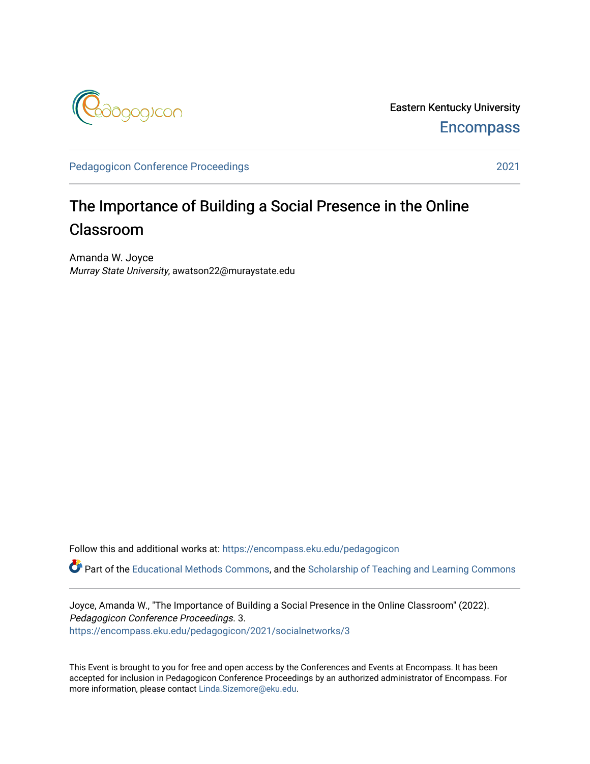

Eastern Kentucky University **Encompass** 

[Pedagogicon Conference Proceedings](https://encompass.eku.edu/pedagogicon) 2021

## The Importance of Building a Social Presence in the Online Classroom

Amanda W. Joyce Murray State University, awatson22@muraystate.edu

Follow this and additional works at: [https://encompass.eku.edu/pedagogicon](https://encompass.eku.edu/pedagogicon?utm_source=encompass.eku.edu%2Fpedagogicon%2F2021%2Fsocialnetworks%2F3&utm_medium=PDF&utm_campaign=PDFCoverPages) 

Part of the [Educational Methods Commons,](http://network.bepress.com/hgg/discipline/1227?utm_source=encompass.eku.edu%2Fpedagogicon%2F2021%2Fsocialnetworks%2F3&utm_medium=PDF&utm_campaign=PDFCoverPages) and the [Scholarship of Teaching and Learning Commons](http://network.bepress.com/hgg/discipline/1328?utm_source=encompass.eku.edu%2Fpedagogicon%2F2021%2Fsocialnetworks%2F3&utm_medium=PDF&utm_campaign=PDFCoverPages) 

Joyce, Amanda W., "The Importance of Building a Social Presence in the Online Classroom" (2022). Pedagogicon Conference Proceedings. 3. [https://encompass.eku.edu/pedagogicon/2021/socialnetworks/3](https://encompass.eku.edu/pedagogicon/2021/socialnetworks/3?utm_source=encompass.eku.edu%2Fpedagogicon%2F2021%2Fsocialnetworks%2F3&utm_medium=PDF&utm_campaign=PDFCoverPages)

This Event is brought to you for free and open access by the Conferences and Events at Encompass. It has been accepted for inclusion in Pedagogicon Conference Proceedings by an authorized administrator of Encompass. For more information, please contact [Linda.Sizemore@eku.edu.](mailto:Linda.Sizemore@eku.edu)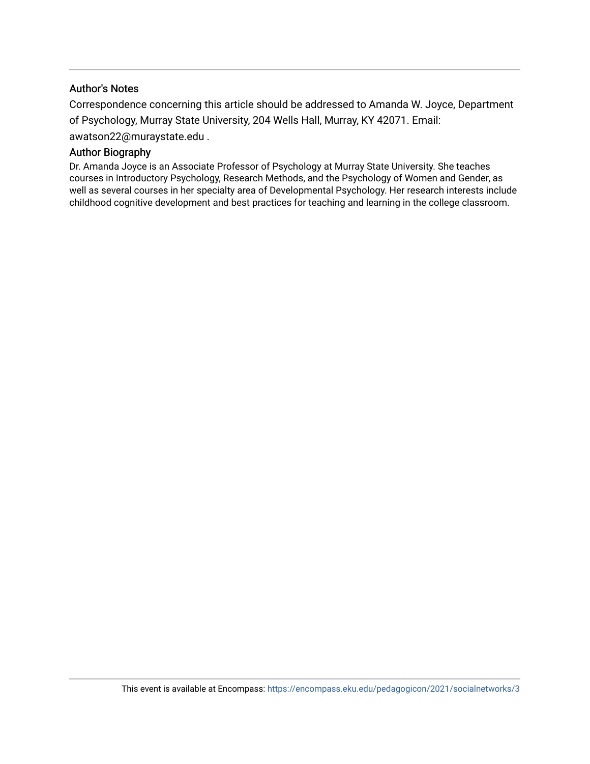#### Author's Notes

Correspondence concerning this article should be addressed to Amanda W. Joyce, Department of Psychology, Murray State University, 204 Wells Hall, Murray, KY 42071. Email: awatson22@muraystate.edu .

#### Author Biography

Dr. Amanda Joyce is an Associate Professor of Psychology at Murray State University. She teaches courses in Introductory Psychology, Research Methods, and the Psychology of Women and Gender, as well as several courses in her specialty area of Developmental Psychology. Her research interests include childhood cognitive development and best practices for teaching and learning in the college classroom.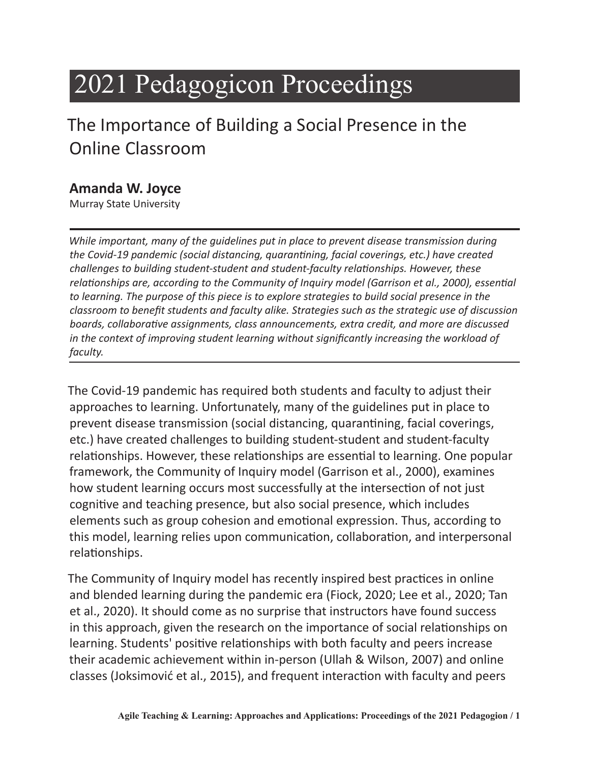# 2021 Pedagogicon Proceedings

# The Importance of Building a Social Presence in the Online Classroom

#### **Amanda W. Joyce**

Murray State University

*While important, many of the guidelines put in place to prevent disease transmission during the Covid-19 pandemic (social distancing, quarantining, facial coverings, etc.) have created challenges to building student-student and student-faculty relationships. However, these relationships are, according to the Community of Inquiry model (Garrison et al., 2000), essential to learning. The purpose of this piece is to explore strategies to build social presence in the classroom to benefit students and faculty alike. Strategies such as the strategic use of discussion boards, collaborative assignments, class announcements, extra credit, and more are discussed in the context of improving student learning without significantly increasing the workload of faculty.* 

The Covid-19 pandemic has required both students and faculty to adjust their approaches to learning. Unfortunately, many of the guidelines put in place to prevent disease transmission (social distancing, quarantining, facial coverings, etc.) have created challenges to building student-student and student-faculty relationships. However, these relationships are essential to learning. One popular framework, the Community of Inquiry model (Garrison et al., 2000), examines how student learning occurs most successfully at the intersection of not just cognitive and teaching presence, but also social presence, which includes elements such as group cohesion and emotional expression. Thus, according to this model, learning relies upon communication, collaboration, and interpersonal relationships.

The Community of Inquiry model has recently inspired best practices in online and blended learning during the pandemic era (Fiock, 2020; Lee et al., 2020; Tan et al., 2020). It should come as no surprise that instructors have found success in this approach, given the research on the importance of social relationships on learning. Students' positive relationships with both faculty and peers increase their academic achievement within in-person (Ullah & Wilson, 2007) and online classes (Joksimović et al., 2015), and frequent interaction with faculty and peers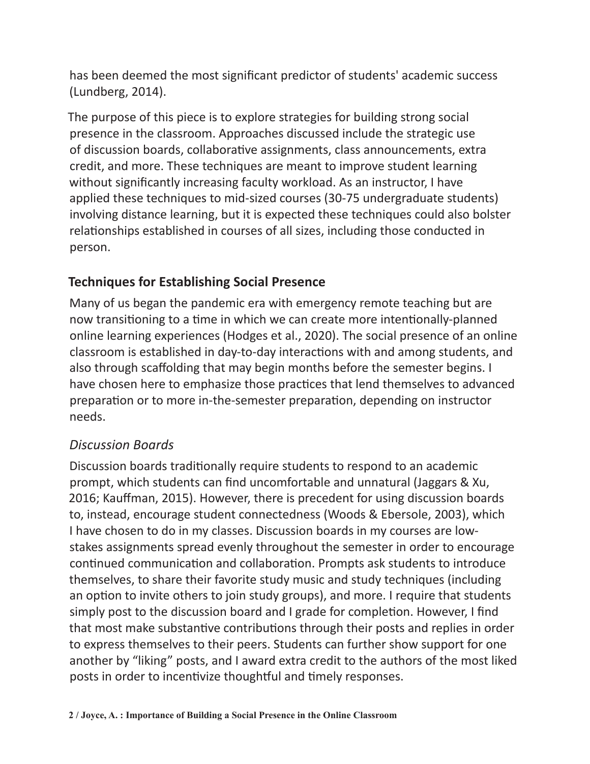has been deemed the most significant predictor of students' academic success (Lundberg, 2014).

The purpose of this piece is to explore strategies for building strong social presence in the classroom. Approaches discussed include the strategic use of discussion boards, collaborative assignments, class announcements, extra credit, and more. These techniques are meant to improve student learning without significantly increasing faculty workload. As an instructor, I have applied these techniques to mid-sized courses (30-75 undergraduate students) involving distance learning, but it is expected these techniques could also bolster relationships established in courses of all sizes, including those conducted in person.

#### **Techniques for Establishing Social Presence**

Many of us began the pandemic era with emergency remote teaching but are now transitioning to a time in which we can create more intentionally-planned online learning experiences (Hodges et al., 2020). The social presence of an online classroom is established in day-to-day interactions with and among students, and also through scaffolding that may begin months before the semester begins. I have chosen here to emphasize those practices that lend themselves to advanced preparation or to more in-the-semester preparation, depending on instructor needs.

#### *Discussion Boards*

Discussion boards traditionally require students to respond to an academic prompt, which students can find uncomfortable and unnatural (Jaggars & Xu, 2016; Kauffman, 2015). However, there is precedent for using discussion boards to, instead, encourage student connectedness (Woods & Ebersole, 2003), which I have chosen to do in my classes. Discussion boards in my courses are lowstakes assignments spread evenly throughout the semester in order to encourage continued communication and collaboration. Prompts ask students to introduce themselves, to share their favorite study music and study techniques (including an option to invite others to join study groups), and more. I require that students simply post to the discussion board and I grade for completion. However, I find that most make substantive contributions through their posts and replies in order to express themselves to their peers. Students can further show support for one another by "liking" posts, and I award extra credit to the authors of the most liked posts in order to incentivize thoughtful and timely responses.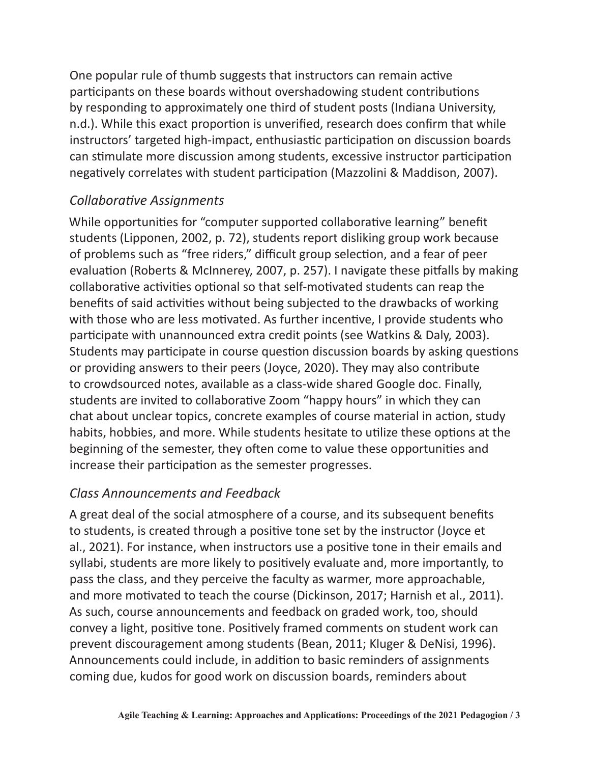One popular rule of thumb suggests that instructors can remain active participants on these boards without overshadowing student contributions by responding to approximately one third of student posts (Indiana University, n.d.). While this exact proportion is unverified, research does confirm that while instructors' targeted high-impact, enthusiastic participation on discussion boards can stimulate more discussion among students, excessive instructor participation negatively correlates with student participation (Mazzolini & Maddison, 2007).

#### *Collaborative Assignments*

While opportunities for "computer supported collaborative learning" benefit students (Lipponen, 2002, p. 72), students report disliking group work because of problems such as "free riders," difficult group selection, and a fear of peer evaluation (Roberts & McInnerey, 2007, p. 257). I navigate these pitfalls by making collaborative activities optional so that self-motivated students can reap the benefits of said activities without being subjected to the drawbacks of working with those who are less motivated. As further incentive, I provide students who participate with unannounced extra credit points (see Watkins & Daly, 2003). Students may participate in course question discussion boards by asking questions or providing answers to their peers (Joyce, 2020). They may also contribute to crowdsourced notes, available as a class-wide shared Google doc. Finally, students are invited to collaborative Zoom "happy hours" in which they can chat about unclear topics, concrete examples of course material in action, study habits, hobbies, and more. While students hesitate to utilize these options at the beginning of the semester, they often come to value these opportunities and increase their participation as the semester progresses.

#### *Class Announcements and Feedback*

A great deal of the social atmosphere of a course, and its subsequent benefits to students, is created through a positive tone set by the instructor (Joyce et al., 2021). For instance, when instructors use a positive tone in their emails and syllabi, students are more likely to positively evaluate and, more importantly, to pass the class, and they perceive the faculty as warmer, more approachable, and more motivated to teach the course (Dickinson, 2017; Harnish et al., 2011). As such, course announcements and feedback on graded work, too, should convey a light, positive tone. Positively framed comments on student work can prevent discouragement among students (Bean, 2011; Kluger & DeNisi, 1996). Announcements could include, in addition to basic reminders of assignments coming due, kudos for good work on discussion boards, reminders about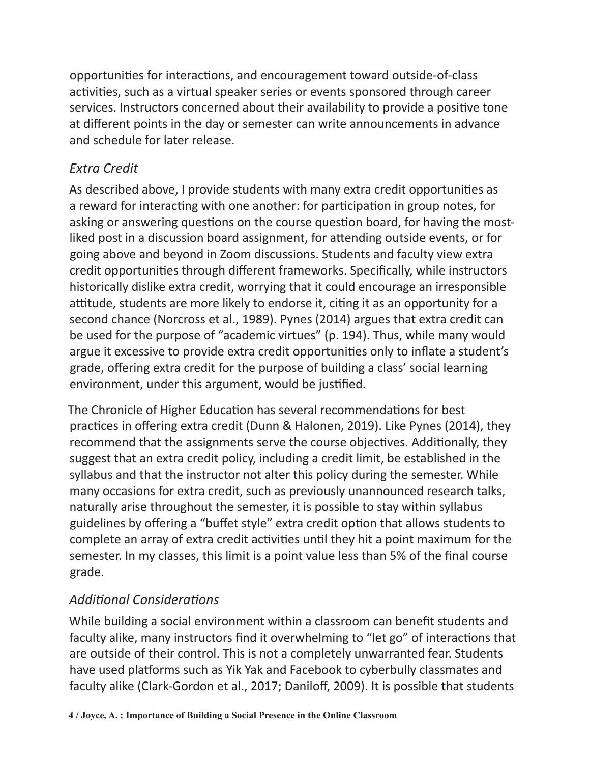opportunities for interactions, and encouragement toward outside-of-class activities, such as a virtual speaker series or events sponsored through career services. Instructors concerned about their availability to provide a positive tone at different points in the day or semester can write announcements in advance and schedule for later release.

#### *Extra Credit*

As described above, I provide students with many extra credit opportunities as a reward for interacting with one another: for participation in group notes, for asking or answering questions on the course question board, for having the mostliked post in a discussion board assignment, for attending outside events, or for going above and beyond in Zoom discussions. Students and faculty view extra credit opportunities through different frameworks. Specifically, while instructors historically dislike extra credit, worrying that it could encourage an irresponsible attitude, students are more likely to endorse it, citing it as an opportunity for a second chance (Norcross et al., 1989). Pynes (2014) argues that extra credit can be used for the purpose of "academic virtues" (p. 194). Thus, while many would argue it excessive to provide extra credit opportunities only to inflate a student's grade, offering extra credit for the purpose of building a class' social learning environment, under this argument, would be justified.

The Chronicle of Higher Education has several recommendations for best practices in offering extra credit (Dunn & Halonen, 2019). Like Pynes (2014), they recommend that the assignments serve the course objectives. Additionally, they suggest that an extra credit policy, including a credit limit, be established in the syllabus and that the instructor not alter this policy during the semester. While many occasions for extra credit, such as previously unannounced research talks, naturally arise throughout the semester, it is possible to stay within syllabus guidelines by offering a "buffet style" extra credit option that allows students to complete an array of extra credit activities until they hit a point maximum for the semester. In my classes, this limit is a point value less than 5% of the final course grade.

### *Additional Considerations*

While building a social environment within a classroom can benefit students and faculty alike, many instructors find it overwhelming to "let go" of interactions that are outside of their control. This is not a completely unwarranted fear. Students have used platforms such as Yik Yak and Facebook to cyberbully classmates and faculty alike (Clark-Gordon et al., 2017; Daniloff, 2009). It is possible that students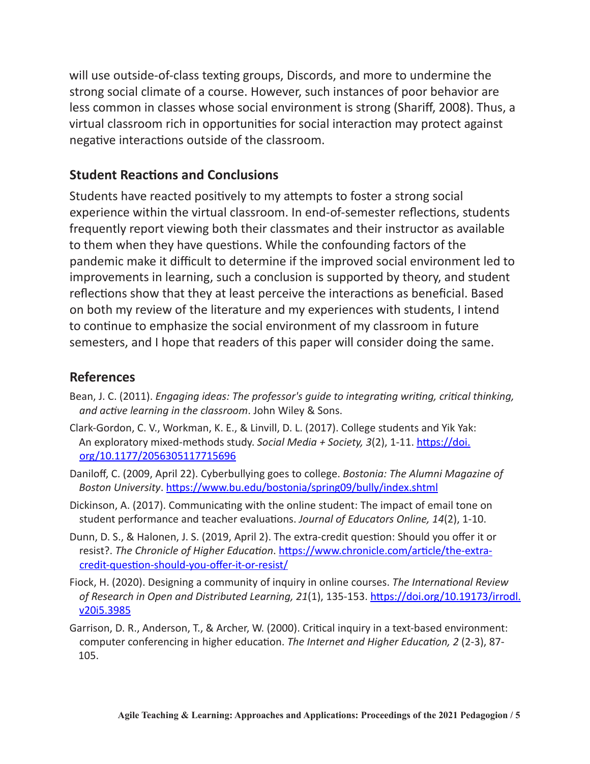will use outside-of-class texting groups, Discords, and more to undermine the strong social climate of a course. However, such instances of poor behavior are less common in classes whose social environment is strong (Shariff, 2008). Thus, a virtual classroom rich in opportunities for social interaction may protect against negative interactions outside of the classroom.

#### **Student Reactions and Conclusions**

Students have reacted positively to my attempts to foster a strong social experience within the virtual classroom. In end-of-semester reflections, students frequently report viewing both their classmates and their instructor as available to them when they have questions. While the confounding factors of the pandemic make it difficult to determine if the improved social environment led to improvements in learning, such a conclusion is supported by theory, and student reflections show that they at least perceive the interactions as beneficial. Based on both my review of the literature and my experiences with students, I intend to continue to emphasize the social environment of my classroom in future semesters, and I hope that readers of this paper will consider doing the same.

#### **References**

- Bean, J. C. (2011). *Engaging ideas: The professor's guide to integrating writing, critical thinking, and active learning in the classroom*. John Wiley & Sons.
- Clark-Gordon, C. V., Workman, K. E., & Linvill, D. L. (2017). College students and Yik Yak: [An exploratory mixed-methods study.](https://doi.org/10.1177/2056305117715696) *Social Media + Society, 3*(2), 1-11. https://doi. org/10.1177/2056305117715696
- Daniloff, C. (2009, April 22). Cyberbullying goes to college. *Bostonia: The Alumni Magazine of Boston University*. <https://www.bu.edu/bostonia/spring09/bully/index.shtml>
- Dickinson, A. (2017). Communicating with the online student: The impact of email tone on student performance and teacher evaluations. *Journal of Educators Online, 14*(2), 1-10.
- Dunn, D. S., & Halonen, J. S. (2019, April 2). The extra-credit question: Should you offer it or resist?. *The Chronicle of Higher Education*. [https://www.chronicle.com/article/the-extra](https://www.chronicle.com/article/the-extra-credit-question-should-you-offer-it-or-resist/)credit-question-should-you-offer-it-or-resist/
- Fiock, H. (2020). Designing a community of inquiry in online courses. *The International Review [of Research in Open and Distributed Learning, 21](https://doi.org/10.19173/irrodl.v20i5.3985)*(1), 135-153. https://doi.org/10.19173/irrodl. v20i5.3985
- Garrison, D. R., Anderson, T., & Archer, W. (2000). Critical inquiry in a text-based environment: computer conferencing in higher education. *The Internet and Higher Education, 2* (2-3), 87- 105.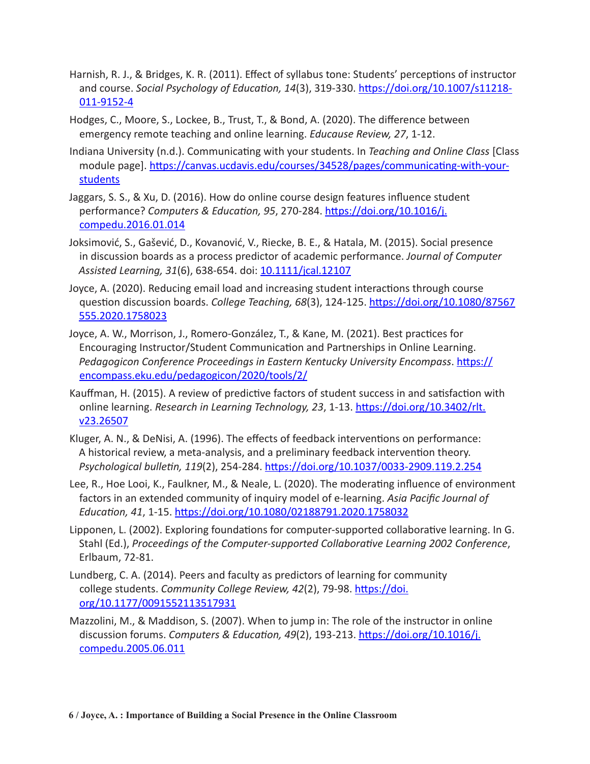- Harnish, R. J., & Bridges, K. R. (2011). Effect of syllabus tone: Students' perceptions of instructor and course. *Social Psychology of Education, 14*[\(3\), 319-330. https://doi.org/10.1007/s11218-](https://doi.org/10.1007/s11218-011-9152-4) 011-9152-4
- Hodges, C., Moore, S., Lockee, B., Trust, T., & Bond, A. (2020). The difference between emergency remote teaching and online learning. *Educause Review, 27*, 1-12.
- Indiana University (n.d.). Communicating with your students. In *Teaching and Online Class* [Class module page]. [https://canvas.ucdavis.edu/courses/34528/pages/communicating-with-your](https://canvas.ucdavis.edu/courses/34528/pages/communicating-with-your-students)**students**
- Jaggars, S. S., & Xu, D. (2016). How do online course design features influence student performance? *Computers & Education, 95*[, 270-284. https://doi.org/10.1016/j.](https://doi.org/10.1016/j.compedu.2016.01.014) compedu.2016.01.014
- Joksimović, S., Gašević, D., Kovanović, V., Riecke, B. E., & Hatala, M. (2015). Social presence in discussion boards as a process predictor of academic performance. *Journal of Computer Assisted Learning, 31*(6), 638-654. doi: [10.1111/jcal.12107](https://doi.org/10.1111/jcal.12107)
- Joyce, A. (2020). Reducing email load and increasing student interactions through course question discussion boards. *College Teaching, 68*[\(3\), 124-125. https://doi.org/10.1080/87567](https://doi.org/10.1080/87567555.2020.1758023) 555.2020.1758023
- Joyce, A. W., Morrison, J., Romero-González, T., & Kane, M. (2021). Best practices for Encouraging Instructor/Student Communication and Partnerships in Online Learning. *[Pedagogicon Conference Proceedings in Eastern Kentucky University Encompass](https://encompass.eku.edu/pedagogicon/2020/tools/2/)*. https:// encompass.eku.edu/pedagogicon/2020/tools/2/
- Kauffman, H. (2015). A review of predictive factors of student success in and satisfaction with online learning. *[Research in Learning Technology, 23](https://doi.org/10.3402/rlt.v23.26507)*, 1-13. https://doi.org/10.3402/rlt. v23.26507
- Kluger, A. N., & DeNisi, A. (1996). The effects of feedback interventions on performance: A historical review, a meta-analysis, and a preliminary feedback intervention theory. *Psychological bulletin, 119*(2), 254-284. https://doi.org/[10.1037/0033-2909.119.2.254](https://doi.org/10.1037/0033-2909.119.2.254)
- Lee, R., Hoe Looi, K., Faulkner, M., & Neale, L. (2020). The moderating influence of environment factors in an extended community of inquiry model of e-learning. *Asia Pacific Journal of Education, 41*, 1-15. https://doi.org[/10.1080/02188791.2020.1758032](https://doi.org/10.1080/02188791.2020.1758032)
- Lipponen, L. (2002). Exploring foundations for computer-supported collaborative learning. In G. Stahl (Ed.), *Proceedings of the Computer-supported Collaborative Learning 2002 Conference*, Erlbaum, 72-81.
- Lundberg, C. A. (2014). Peers and faculty as predictors of learning for community college students. *Community College Review, 42*(2), 79-98. https://doi. [org/10.1177/0091552113517931](https://doi.org/10.1177/0091552113517931)
- Mazzolini, M., & Maddison, S. (2007). When to jump in: The role of the instructor in online discussion forums. *Computers & Education, 49*[\(2\), 193-213. https://doi.org/10.1016/j.](https://doi.org/10.1016/j.compedu.2005.06.011) compedu.2005.06.011